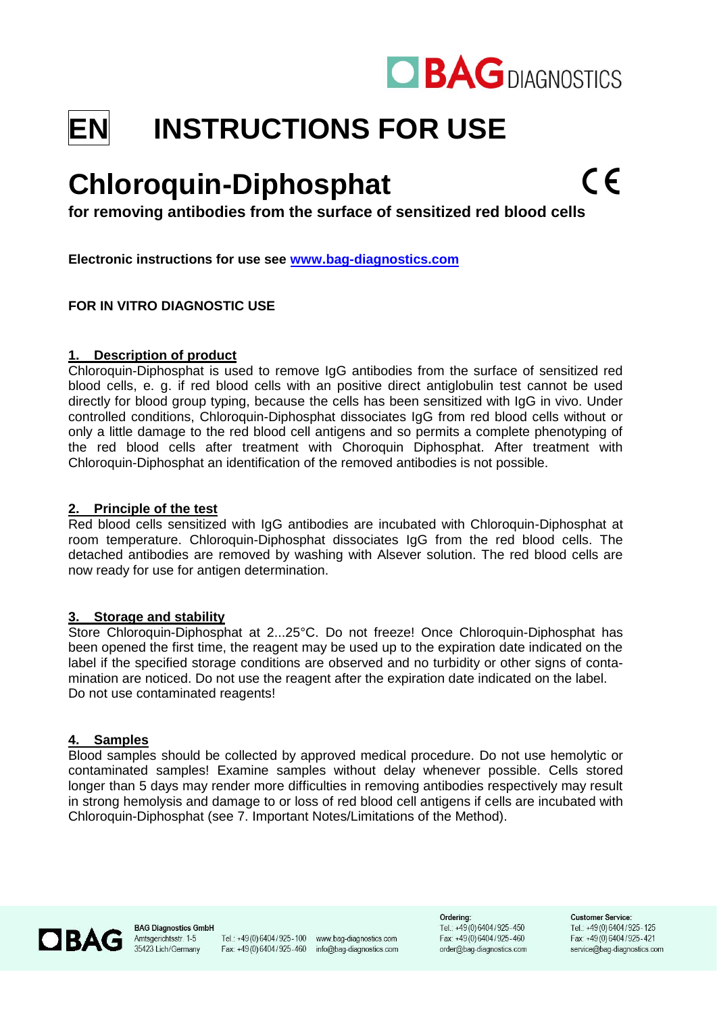

# **EN INSTRUCTIONS FOR USE**

# **Chloroquin-Diphosphat**

**for removing antibodies from the surface of sensitized red blood cells**

**Electronic instructions for use see [www.bag-diagnostics.com](http://www.bag-diagnostics.com/)**

# **FOR IN VITRO DIAGNOSTIC USE**

#### **1. Description of product**

Chloroquin-Diphosphat is used to remove IgG antibodies from the surface of sensitized red blood cells, e. g. if red blood cells with an positive direct antiglobulin test cannot be used directly for blood group typing, because the cells has been sensitized with IgG in vivo. Under controlled conditions, Chloroquin-Diphosphat dissociates IgG from red blood cells without or only a little damage to the red blood cell antigens and so permits a complete phenotyping of the red blood cells after treatment with Choroquin Diphosphat. After treatment with Chloroquin-Diphosphat an identification of the removed antibodies is not possible.

#### **2. Principle of the test**

Red blood cells sensitized with IgG antibodies are incubated with Chloroquin-Diphosphat at room temperature. Chloroquin-Diphosphat dissociates IgG from the red blood cells. The detached antibodies are removed by washing with Alsever solution. The red blood cells are now ready for use for antigen determination.

#### **3. Storage and stability**

Store Chloroquin-Diphosphat at 2...25°C. Do not freeze! Once Chloroquin-Diphosphat has been opened the first time, the reagent may be used up to the expiration date indicated on the label if the specified storage conditions are observed and no turbidity or other signs of contamination are noticed. Do not use the reagent after the expiration date indicated on the label. Do not use contaminated reagents!

#### **4. Samples**

Blood samples should be collected by approved medical procedure. Do not use hemolytic or contaminated samples! Examine samples without delay whenever possible. Cells stored longer than 5 days may render more difficulties in removing antibodies respectively may result in strong hemolysis and damage to or loss of red blood cell antigens if cells are incubated with Chloroquin-Diphosphat (see 7. Important Notes/Limitations of the Method).



**BAG Diagnostics GmbH** Amtsgerichtsstr. 1-5 35423 Lich/Germany

Tel.: +49(0)6404/925-100 www.bag-diagnostics.com Fax: +49(0)6404/925-460 info@bag-diagnostics.com

Ordering: Tel.: +49(0)6404/925-450 Fax: +49(0)6404/925-460 order@bag-diagnostics.com

**Customer Service:** Tel: +49(0)6404/925-125 Fax: +49(0) 6404/925-421 service@bag-diagnostics.com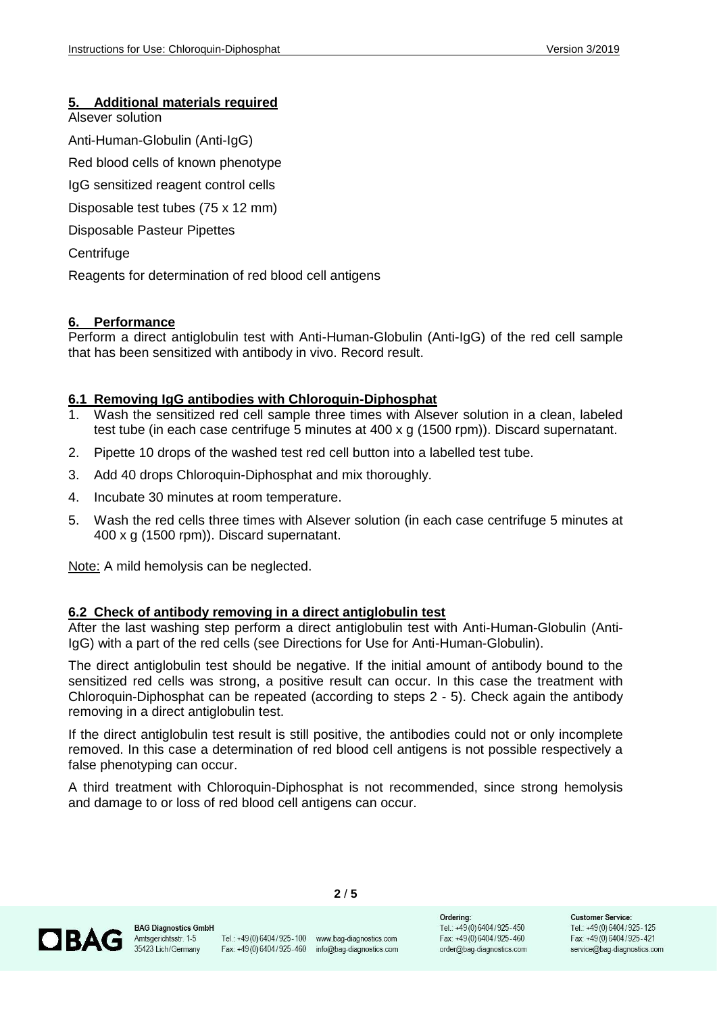# **5. Additional materials required**

Alsever solution

Anti-Human-Globulin (Anti-IgG)

Red blood cells of known phenotype

IgG sensitized reagent control cells

Disposable test tubes (75 x 12 mm)

Disposable Pasteur Pipettes

**Centrifuge** 

Reagents for determination of red blood cell antigens

#### **6. Performance**

Perform a direct antiglobulin test with Anti-Human-Globulin (Anti-IgG) of the red cell sample that has been sensitized with antibody in vivo. Record result.

#### **6.1 Removing IgG antibodies with Chloroquin-Diphosphat**

- 1. Wash the sensitized red cell sample three times with Alsever solution in a clean, labeled test tube (in each case centrifuge 5 minutes at 400 x g (1500 rpm)). Discard supernatant.
- 2. Pipette 10 drops of the washed test red cell button into a labelled test tube.
- 3. Add 40 drops Chloroquin-Diphosphat and mix thoroughly.
- 4. Incubate 30 minutes at room temperature.
- 5. Wash the red cells three times with Alsever solution (in each case centrifuge 5 minutes at 400 x g (1500 rpm)). Discard supernatant.

Note: A mild hemolysis can be neglected.

#### **6.2 Check of antibody removing in a direct antiglobulin test**

After the last washing step perform a direct antiglobulin test with Anti-Human-Globulin (Anti-IgG) with a part of the red cells (see Directions for Use for Anti-Human-Globulin).

The direct antiglobulin test should be negative. If the initial amount of antibody bound to the sensitized red cells was strong, a positive result can occur. In this case the treatment with Chloroquin-Diphosphat can be repeated (according to steps 2 - 5). Check again the antibody removing in a direct antiglobulin test.

If the direct antiglobulin test result is still positive, the antibodies could not or only incomplete removed. In this case a determination of red blood cell antigens is not possible respectively a false phenotyping can occur.

A third treatment with Chloroquin-Diphosphat is not recommended, since strong hemolysis and damage to or loss of red blood cell antigens can occur.

**2** / **5**



Tel.: +49(0)6404/925-100 www.bag-diagnostics.com Fax: +49(0)6404/925-460 info@bag-diagnostics.com

Ordering: Tel.: +49(0)6404/925-450 Fax: +49(0)6404/925-460 order@bag-diagnostics.com

**Customer Service:** Tel.: +49 (0) 6404 / 925 - 125 Fax: +49(0) 6404/925-421 service@bag-diagnostics.com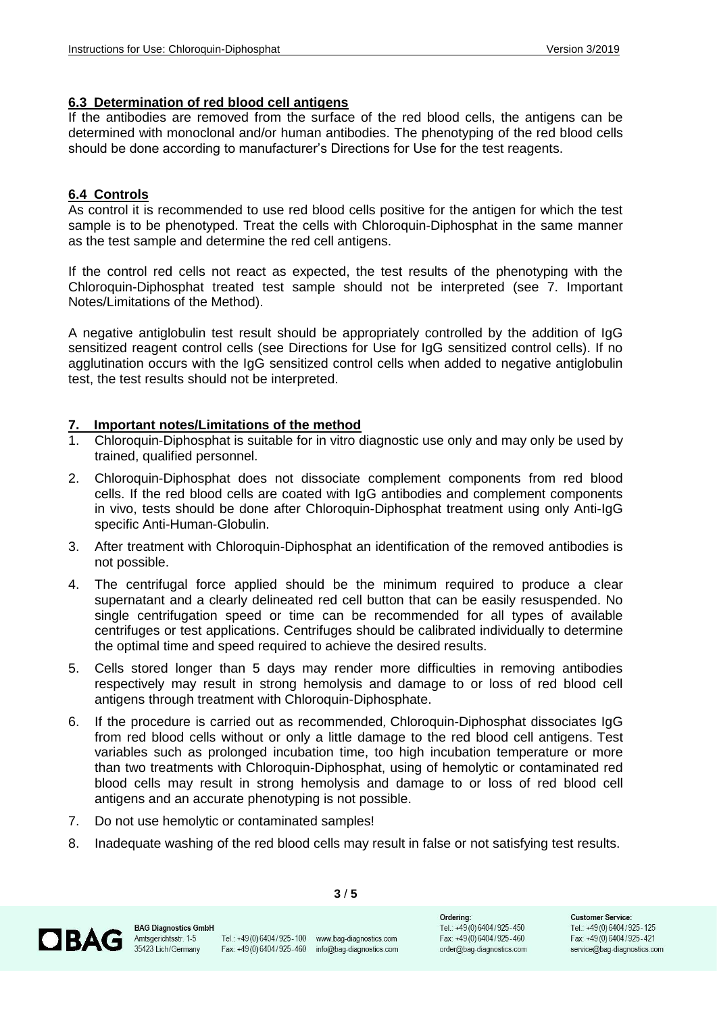#### **6.3 Determination of red blood cell antigens**

If the antibodies are removed from the surface of the red blood cells, the antigens can be determined with monoclonal and/or human antibodies. The phenotyping of the red blood cells should be done according to manufacturer's Directions for Use for the test reagents.

# **6.4 Controls**

As control it is recommended to use red blood cells positive for the antigen for which the test sample is to be phenotyped. Treat the cells with Chloroquin-Diphosphat in the same manner as the test sample and determine the red cell antigens.

If the control red cells not react as expected, the test results of the phenotyping with the Chloroquin-Diphosphat treated test sample should not be interpreted (see 7. Important Notes/Limitations of the Method).

A negative antiglobulin test result should be appropriately controlled by the addition of IgG sensitized reagent control cells (see Directions for Use for IgG sensitized control cells). If no agglutination occurs with the IgG sensitized control cells when added to negative antiglobulin test, the test results should not be interpreted.

# **7. Important notes/Limitations of the method**

- 1. Chloroquin-Diphosphat is suitable for in vitro diagnostic use only and may only be used by trained, qualified personnel.
- 2. Chloroquin-Diphosphat does not dissociate complement components from red blood cells. If the red blood cells are coated with IgG antibodies and complement components in vivo, tests should be done after Chloroquin-Diphosphat treatment using only Anti-IgG specific Anti-Human-Globulin.
- 3. After treatment with Chloroquin-Diphosphat an identification of the removed antibodies is not possible.
- 4. The centrifugal force applied should be the minimum required to produce a clear supernatant and a clearly delineated red cell button that can be easily resuspended. No single centrifugation speed or time can be recommended for all types of available centrifuges or test applications. Centrifuges should be calibrated individually to determine the optimal time and speed required to achieve the desired results.
- 5. Cells stored longer than 5 days may render more difficulties in removing antibodies respectively may result in strong hemolysis and damage to or loss of red blood cell antigens through treatment with Chloroquin-Diphosphate.
- 6. If the procedure is carried out as recommended, Chloroquin-Diphosphat dissociates IgG from red blood cells without or only a little damage to the red blood cell antigens. Test variables such as prolonged incubation time, too high incubation temperature or more than two treatments with Chloroquin-Diphosphat, using of hemolytic or contaminated red blood cells may result in strong hemolysis and damage to or loss of red blood cell antigens and an accurate phenotyping is not possible.
- 7. Do not use hemolytic or contaminated samples!
- 8. Inadequate washing of the red blood cells may result in false or not satisfying test results.

**3** / **5**



Ordering: Tel.: +49(0)6404/925-450 Fax: +49(0)6404/925-460 order@bag-diagnostics.com

**Customer Service:** Tel.: +49 (0) 6404 / 925 - 125 Fax: +49(0)6404/925-421 service@bag-diagnostics.com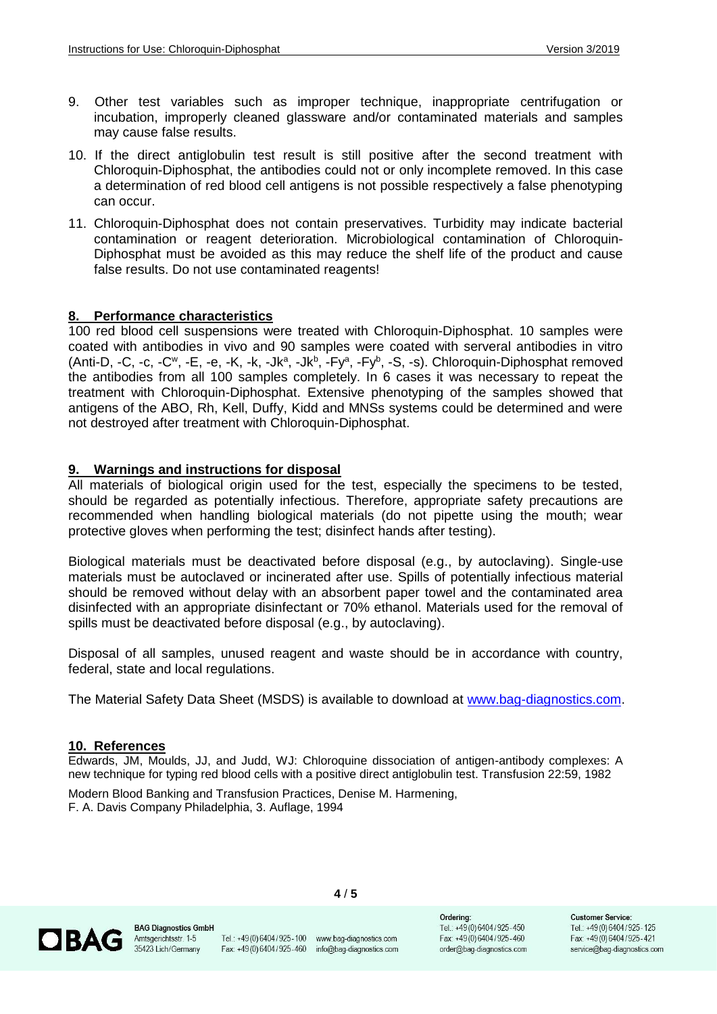- 9. Other test variables such as improper technique, inappropriate centrifugation or incubation, improperly cleaned glassware and/or contaminated materials and samples may cause false results.
- 10. If the direct antiglobulin test result is still positive after the second treatment with Chloroquin-Diphosphat, the antibodies could not or only incomplete removed. In this case a determination of red blood cell antigens is not possible respectively a false phenotyping can occur.
- 11. Chloroquin-Diphosphat does not contain preservatives. Turbidity may indicate bacterial contamination or reagent deterioration. Microbiological contamination of Chloroquin-Diphosphat must be avoided as this may reduce the shelf life of the product and cause false results. Do not use contaminated reagents!

# **8. Performance characteristics**

100 red blood cell suspensions were treated with Chloroquin-Diphosphat. 10 samples were coated with antibodies in vivo and 90 samples were coated with serveral antibodies in vitro  $(Anti-D, -C, -c, -C^w, -E, -e, -K, -K, -Jk^a, -Jk^b, -Fy^a, -Fy^b, -S, -s)$ . Chloroquin-Diphosphat removed the antibodies from all 100 samples completely. In 6 cases it was necessary to repeat the treatment with Chloroquin-Diphosphat. Extensive phenotyping of the samples showed that antigens of the ABO, Rh, Kell, Duffy, Kidd and MNSs systems could be determined and were not destroyed after treatment with Chloroquin-Diphosphat.

#### **9. Warnings and instructions for disposal**

All materials of biological origin used for the test, especially the specimens to be tested, should be regarded as potentially infectious. Therefore, appropriate safety precautions are recommended when handling biological materials (do not pipette using the mouth; wear protective gloves when performing the test; disinfect hands after testing).

Biological materials must be deactivated before disposal (e.g., by autoclaving). Single-use materials must be autoclaved or incinerated after use. Spills of potentially infectious material should be removed without delay with an absorbent paper towel and the contaminated area disinfected with an appropriate disinfectant or 70% ethanol. Materials used for the removal of spills must be deactivated before disposal (e.g., by autoclaving).

Disposal of all samples, unused reagent and waste should be in accordance with country, federal, state and local regulations.

The Material Safety Data Sheet (MSDS) is available to download at [www.bag-diagnostics.com.](http://www.bag-diagnostics.com/)

#### **10. References**

Edwards, JM, Moulds, JJ, and Judd, WJ: Chloroquine dissociation of antigen-antibody complexes: A new technique for typing red blood cells with a positive direct antiglobulin test. Transfusion 22:59, 1982

Modern Blood Banking and Transfusion Practices, Denise M. Harmening, F. A. Davis Company Philadelphia, 3. Auflage, 1994



**BAG Diagnostics GmbH** Amtsgerichtsstr. 1-5 35423 Lich/Germany

Tel.: +49(0)6404/925-100 www.bag-diagnostics.com Fax: +49(0)6404/925-460 info@bag-diagnostics.com

**4** / **5**

Ordering: Tel.: +49(0)6404/925-450 Fax: +49(0)6404/925-460 order@bag-diagnostics.com

**Customer Service:** Tel.: +49 (0) 6404 / 925 - 125 Fax: +49(0)6404/925-421 service@bag-diagnostics.com